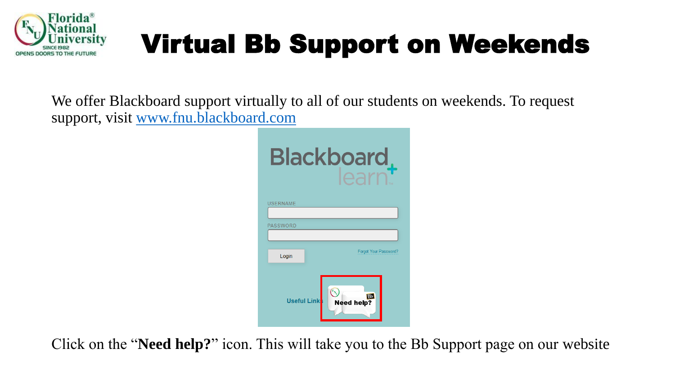

We offer Blackboard support virtually to all of our students on weekends. To request support, visit [www.fnu.blackboard.com](http://www.fnu.blackboard.com/)

| <b>Blackboard</b> ,                                  |  |
|------------------------------------------------------|--|
| USERNAME                                             |  |
|                                                      |  |
| <b>PASSWORD</b>                                      |  |
|                                                      |  |
| Forgot Your Password?<br>Login                       |  |
| <b>Bb</b><br><b>Useful Link</b><br><b>Need help?</b> |  |

Click on the "**Need help?**" icon. This will take you to the Bb Support page on our website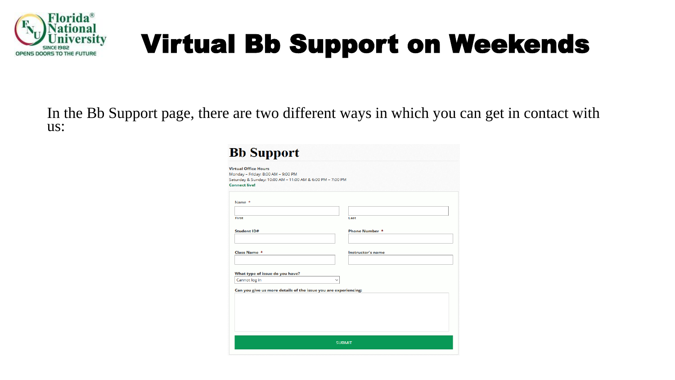

In the Bb Support page, there are two different ways in which you can get in contact with us:

| Monday - Friday: 8:00 AM - 9:00 PM                                                 |                          |  |
|------------------------------------------------------------------------------------|--------------------------|--|
| Saturday & Sunday: 10:00 AM - 11:00 AM & 6:00 PM - 7:00 PM<br><b>Connect live!</b> |                          |  |
|                                                                                    |                          |  |
|                                                                                    |                          |  |
| Name *                                                                             |                          |  |
|                                                                                    |                          |  |
| First                                                                              | Last                     |  |
|                                                                                    |                          |  |
| Student ID#                                                                        | Phone Number *           |  |
|                                                                                    |                          |  |
|                                                                                    |                          |  |
| Class Name *                                                                       | <b>Instructor's name</b> |  |
|                                                                                    |                          |  |
|                                                                                    |                          |  |
|                                                                                    |                          |  |
| What type of issue do you have?                                                    |                          |  |
|                                                                                    |                          |  |
| Cannot log in                                                                      |                          |  |
| Can you give us more details of the issue you are experiencing:                    |                          |  |
|                                                                                    |                          |  |
|                                                                                    |                          |  |
|                                                                                    |                          |  |
|                                                                                    |                          |  |
|                                                                                    |                          |  |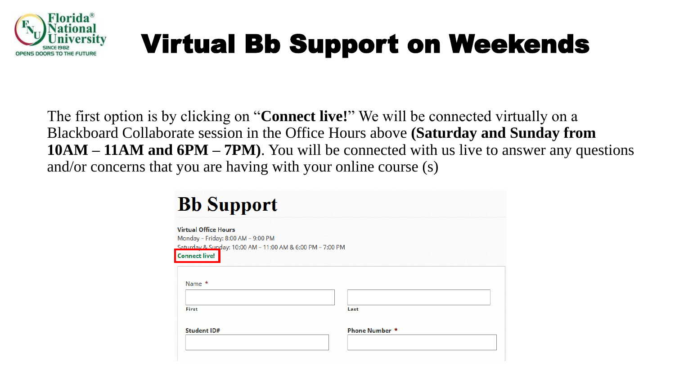

The first option is by clicking on "**Connect live!**" We will be connected virtually on a Blackboard Collaborate session in the Office Hours above **(Saturday and Sunday from 10AM – 11AM and 6PM – 7PM)**. You will be connected with us live to answer any questions and/or concerns that you are having with your online course (s)

| <b>Virtual Office Hours</b>                                |      |  |
|------------------------------------------------------------|------|--|
| Monday - Friday: 8:00 AM - 9:00 PM                         |      |  |
| Saturday & Sunday: 10:00 AM - 11:00 AM & 6:00 PM - 7:00 PM |      |  |
| <b>Connect live!</b>                                       |      |  |
|                                                            |      |  |
|                                                            |      |  |
| Name *                                                     |      |  |
|                                                            |      |  |
|                                                            |      |  |
|                                                            |      |  |
| First                                                      | Last |  |
|                                                            |      |  |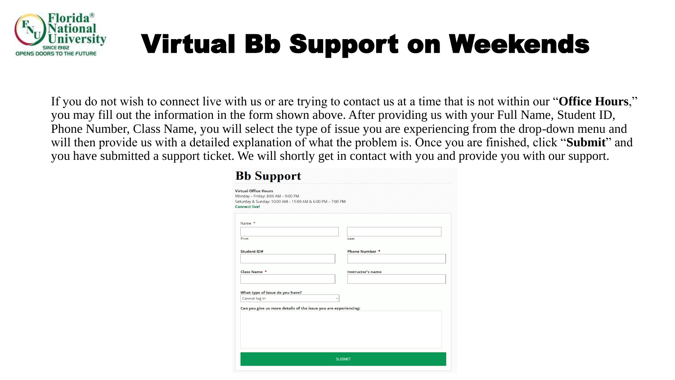

If you do not wish to connect live with us or are trying to contact us at a time that is not within our "**Office Hours**," you may fill out the information in the form shown above. After providing us with your Full Name, Student ID, Phone Number, Class Name, you will select the type of issue you are experiencing from the drop-down menu and will then provide us with a detailed explanation of what the problem is. Once you are finished, click "**Submit**" and you have submitted a support ticket. We will shortly get in contact with you and provide you with our support.

| <b>Virtual Office Hours</b><br>Monday - Friday: 8:00 AM - 9:00 PM |                          |  |
|-------------------------------------------------------------------|--------------------------|--|
| Saturday & Sunday: 10:00 AM - 11:00 AM & 6:00 PM - 7:00 PM        |                          |  |
| <b>Connect live!</b>                                              |                          |  |
|                                                                   |                          |  |
| Name *                                                            |                          |  |
|                                                                   |                          |  |
| First                                                             | Last                     |  |
|                                                                   |                          |  |
| <b>Student ID#</b>                                                | <b>Phone Number *</b>    |  |
|                                                                   |                          |  |
| <b>Class Name *</b>                                               | <b>Instructor's name</b> |  |
|                                                                   |                          |  |
|                                                                   |                          |  |
| What type of issue do you have?                                   |                          |  |
| Cannot log in                                                     |                          |  |
| Can you give us more details of the issue you are experiencing:   |                          |  |
|                                                                   |                          |  |
|                                                                   |                          |  |
|                                                                   |                          |  |
|                                                                   |                          |  |
|                                                                   |                          |  |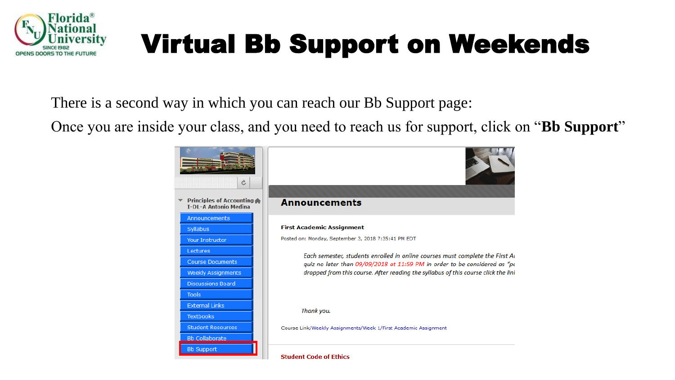

There is a second way in which you can reach our Bb Support page:

Once you are inside your class, and you need to reach us for support, click on "**Bb Support**"